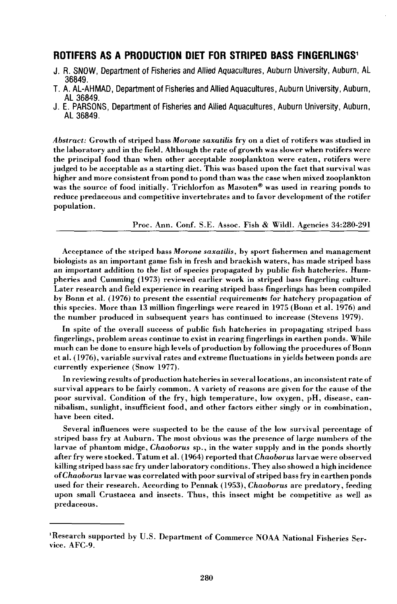# **ROTIFERS AS A PRODUCTION DIET FOR STRIPED BASS FINGERLINGSl**

- J. R. SNOW, Department of Fisheries and Allied Aquacultures, Auburn University, Auburn, AL 36849.
- T. A. AL-AHMAD, Department of Fisheries and Allied Aquacultures, Auburn University, Auburn, AL 36849.
- J. E. PARSONS, Department of Fisheries and Allied Aquacultures, Auburn University, Auburn, AL 36849.

*Abstract:* Growth of striped bass *Morone saxatilis* fry on a diet of rotifers was studied in the laboratory and in the field. Although the rate of growth was slower when rotifers were the principal food than when other acceptable zooplankton were eaten, rotifers were judged to be acceptable as a starting diet. This was based upon the fact that survival was higher and more consistent from pond to pond than was the case when mixed zooplankton was the source of food initially. Trichlorfon as Masoten<sup>®</sup> was used in rearing ponds to reduce predaceous and competitive invertebrates and to favor development of the rotifer population.

Proc. Ann. Conf. S.E. Assoc. Fish & Wildl. Agencies 34:280-291

Acceptance of the striped bass *Morone saxatilis,* by sport fishermen and management biologists as an important game fish in fresh and brackish waters, has made striped bass an important addition to the list of species propagated by public fish hatcheries. Humpheries and Cumming (1973) reviewed earlier work in striped bass fingerling culture. Later research and field experience in rearing striped bass fingerlings has been compiled by Bonn et al. (1976) to present the essential requirements for hatchery propagation of this species. More than 13 million fingerlings were reared in 1975 (Bonn et al. 1976) and the number produced in subsequent years has continued to increase (Stevens 1979).

In spite of the overall success of public fish hatcheries in propagating striped bass fingerlings, problem areas continue to exist in rearing fingerlings in earthen ponds. While much can be done to ensure high levels of production by following the procedures ofBonn et al. (1976), variable survival rates and extreme fluctuations in yields between ponds are currently experience (Snow 1977).

In reviewing results of production hatcheries in several locations, an inconsistent rate of survival appears to be fairly common. A variety of reasons are given for the cause of the poor survival. Condition of the fry, high temperature, low oxygen, pH, disease, cannibalism, sunlight, insufficient food, and other factors either singly or in combination, have been cited.

Several influences were suspected to be the cause of the low survival percentage of striped bass fry at Auburn. The most obvious was the presence of large numbers of the larvae of phantom midge, *Chaoborus* sp., in the water supply and in the ponds shortly after fry were stocked. Tatum et al. (1964) reported that *Chaoborus* larvae were observed killing striped bass sac fry under laboratory conditions. They also showed a high incidence *ofChaoborus* larvae was correlated with poor survival ofstriped bass fry in earthen ponds used for their research. According to Pennak (1953), *Chaoborus* are predatory, feeding upon small Crustacea and insects. Thus, this insect might be competitive as well as predaceous.

lResearch supported by U.S. Department of Commerce NOAA National Fisheries Service. AFC-9.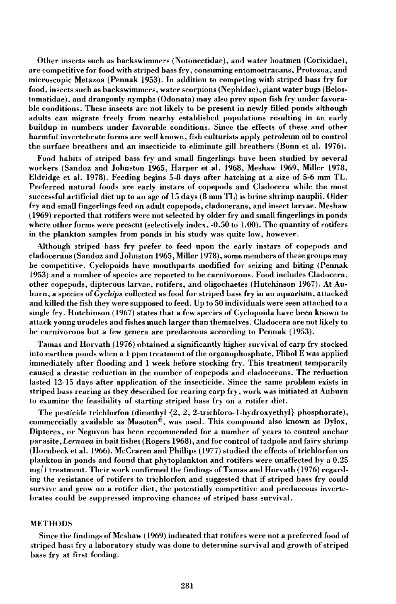Other insects such as backswimmers (Notonectidae), and water boatmen (Corixidae), are competitive for food with striped bass fry, consuming entomostracans, Protozoa, and microscopic Metazoa (Pennak 1953). In addition to competing with striped bass fry for food, insects such as backswimmers, water scorpions (Nephidae), giant water bugs (Belostomatidae), and drangonly nymphs (Odonata) may also prey upon fish fry under favorable conditions. These insects are not likely to be present in newly filled ponds although adults can migrate freely from nearby established populations resulting in an early buildup in numbers under favorable conditions. Since the effects of these and other harmful invertebrate forms are well known, fish culturists apply petroleum oil to control the surface breathers and an insecticide to eliminate gill breathers (Bonn et al. 1976).

Food habits of striped bass fry and small fingerlings have been studied by several workers (Sandoz and Johnston 1965, Harper et al. 1968, Meshaw 1969, Miller 1978, Eldridge et al. 1978). Feeding begins 5-8 days after hatching at a size of 5-6 mm TL. Preferred natural foods are early instars of copepods and Cladocera while the most successful artificial diet up to an age of 15 days (8 mm TL) is brine shrimp nauplii. Older fry and small fingerlings feed on adult copepods, cladocerans, and insect larvae. Meshaw (1969) reported that rotifers were not selected by older fry and small fingerlings in ponds where other forms were present (selectively index, -0.50 to 1.00). The quantity of rotifers in the plankton samples from ponds in his study was quite low, however.

Although striped bass fry prefer to feed upon the early instars of copepods and cladocerans (Sandoz and Johnston 1965, Miller 1978), some members ofthese groups may be competitive. Cyclopoids have mouthparts modified for seizing and biting (Pennak 1953) and a number of species are reported to be carnivorous. Food includes Cladocera, other copepods, dipterous larvae, rotifers, and oligochaetes (Hutchinson 1967). At Auburn, a species of  $Cycloips$  collected as food for striped bass fry in an aquarium, attacked and killed the fish they were supposed to feed. Up to 50 individuals were seen attached to a single fry. Hutchinson (1967) states that a few species of Cyclopoida have been known to attack young urodeles and fishes much larger than themselves. Cladocera are not likely to be carnivorous but a few genera are predaceous according to Pennak (1953).

Tamas and Horvath (1976) obtained a significantly higher survival of carp fry stocked into earthen ponds when a 1 ppm treatment of the organophosphate, Flibol E was applied immediately after flooding and 1 week before stocking fry. This treatment temporarily caused a drastic reduction in the number of copepods and cladocerans. The reduction lasted 12-15 days after application of the insecticide. Since the same problem exists in striped bass rearing as they described for rearing carp fry, work was initiated at Auburn to examine the feasihility of starting striped bass fry on a rotifer diet.

The pesticide trichlorfon (dimethyl  $\{2, 2, 2\text{-trichloro-1-hydroxyethyl}\}$  phosphorate), commercially available as Masoten®, was used. This compound also known as Dylox, Dipterex, or Neguvon has been recommended for a number of years to control anchor parasite, *Lernaea* in bait fishes (Rogers 1968), and for control oftadpole and fairy shrimp (Hornbeck et al. 1966). McCraren and Phillips (1977) studied the effects oftrichlorfon on plankton in ponds and found that phytoplankton and rotifers were unaffected by a 0.25 mg/l treatment. Their work confirmed the findings of Tamas and Horvath (1976) regarding the resistance of rotifers to trichlorfon and suggested that if striped bass fry could survive and grow on a rotifer diet, the potentially competitive and predaceous invertebrates could be suppressed improving chances of striped bass survival.

#### METHODS

Since the findings of Meshaw (1969) indicated that rotifers were not a preferred food of striped bass fry a laboratory study was done to determine survival and growth of striped bass fry at first feeding.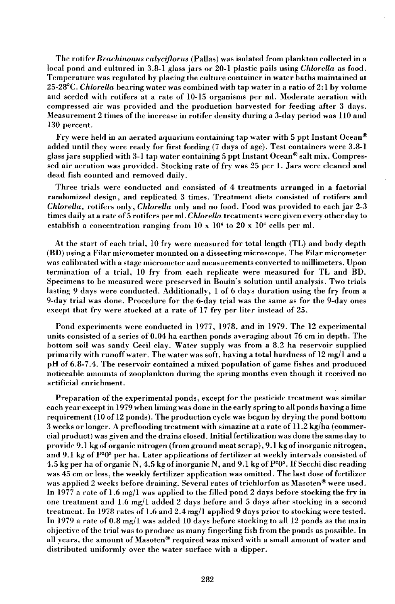The rotifer *Brachinonus calyciflorus* (Pallas) was isolated from plankton collected in a local pond and cultured in 3.8-1 glass jars or 20-1 plastic pails using *ChloreUa* as food. Temperature was regulated by placing the culture container in water baths maintained at 25-28°C. *ChloreUa* bearing water was combined with tap water in a ratio of 2: 1 by volume and seeded with rotifers at a rate of 10-15 organisms per m!. Moderate aeration with compressed air was provided and the production harvested for feeding after 3 days. Measurement 2 times of the increase in rotifer density during a 3-day period was 110 and 130 percent.

Fry were held in an aerated aquarium containing tap water with 5 ppt Instant Ocean<sup>®</sup> added until they were ready for first feeding (7 days of age). Test containers were 3.8-1 glass jars supplied with 3-1 tap water containing 5 ppt Instant Ocean® salt mix. Compressed air aeration was provided. Stocking rate of fry was 25 per 1. Jars were cleaned and dead fish counted and removed daily.

Three trials were conducted and consisted of 4 treatments arranged in a factorial randomized design, and replicated 3 times. Treatment diets consisted of rotifers and *ChloreUa,* rotifers only, *ChloreUa* only and no food. Food was provided to each jar 2-3 times daily at a rate of 5 rotifers per m!. *Chlorella* treatments were given every other day to establish a concentration ranging from  $10 \times 10^4$  to  $20 \times 10^4$  cells per ml.

At the start of each trial, 10 fry were measured for total length (TL) and body depth (BD) using a Filar micrometer mounted on a dissecting microscope. The Filar micrometer was calibrated with a stage micrometer and measurements converted to millimeters. Upon termination of a trial, 10 fry from each replicate were measured for TL and BD. Specimens to be measured were preserved in Bouin's solution until analysis. Two trials lasting 9 days were conducted. Additionally, 1 of 6 days duration using the fry from a 9-day trial was done. Procedure for the 6-day trial was the same as for the 9-day ones except that fry were stocked at a rate of 17 fry per liter instead of 25.

Pond experiments were conducted in 1977, 1978, and in 1979. The 12 experimental units consisted of a series of 0.04 ha earthen ponds averaging about 76 cm in depth. The bottom soil was sandy Cecil clay. Water supply was from a 8.2 ha reservoir supplied primarily with runoff water. The water was soft, having a total hardness of 12 mg/l and a pH of 6.8-7.4. The reservoir contained a mixed population of game fishes and produced noticeable amounts of zooplankton during the spring months even though it received no artificial enrichment.

Preparation of the experimental ponds, except for the pesticide treatment was similar each year except in 1979 when liming was done in the early spring to all ponds having a lime requirement (10 of 12 ponds). The production cycle was begun by drying the pond bottom 3 weeks or longer. A preflooding treatment with simazine at a rate of 11.2 kg/ha (commercial product) was given and the drains closed. Initial fertilization was done the same day to provide 9.1 kg of organic nitrogen (from ground meat scrap), 9.1 kg ofinorganic nitrogen, and 9.1 kg of  $P^{2}0^{5}$  per ha. Later applications of fertilizer at weekly intervals consisted of 4.5 kg per ha of organic N, 4.5 kg of inorganic N, and 9.1 kg of  $P^{20^5}$ . If Secchi disc reading was 45 cm or less, the weekly fertilizer application was omitted. The last dose of fertilizer was applied 2 weeks before draining. Several rates of trichlorfon as Masoten® were used. In 1977 a rate of 1.6 mg/l was applied to the filled pond 2 days before stocking the fry in one treatment and 1.6 mg/l added 2 days before and 5 days after stocking in a second treatment. In 1978 rates of 1.6 and 2.4 mg/l applied 9 days prior to stocking were tested. In 1979 a rate of 0.8 mg/l was addcd 10 days before stocking to all 12 ponds as the main objective ofthe trial was to produce as many fingerling fish from the ponds as possible. In all years, the amount of Masoten® required was mixed with a small amount of water and distributed uniformly over the water surface with a dipper.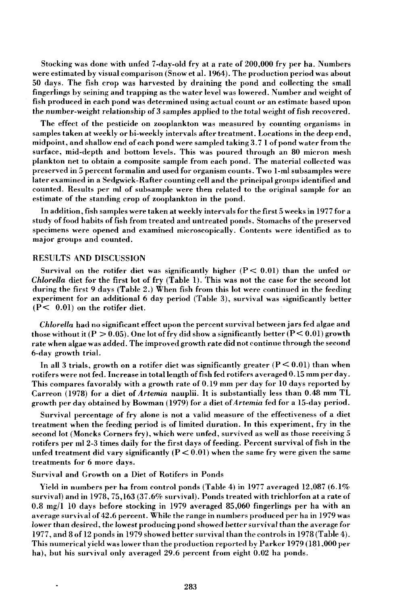Stocking was done with unfed 7-day-old fry at a rate of 200,000 fry per ha. Numbers were estimated by visual comparison (Snow et al. 1964). The production period was about 50 days. The fish crop was harvested by draining the pond and collecting the small fingerlings by seining and trapping as the water level was lowered. Number and weight of fish produced in each pond was determined using actual count or an estimate based upon the number-weight relationship of 3 samples applied to the total weight of fish recovered.

The effect of the pesticide on zooplankton was measured by counting organisms in samples taken at weekly or bi-weekly intervals after treatment. Locations in the deep end, midpoint, and shallow end of each pond were sampled taking 3.71 of pond water from the surface, mid-depth and bottom levels. This was poured through an 80 micron mesh plankton net to obtain a composite sample from each pond. The material collected was preserved in 5 percent formalin and used for organism counts. Two I-ml subsamples were later examined in a Sedgwick-Rafter counting cell and the principal groups identified and counted. Results per ml of subsample were then related to the original sample for an estimate of the standing crop of zooplankton in the pond.

In addition, fish samples were taken at weekly intervals for the first 5 weeks in 1977 for a study of food habits of fish from treated and untreated ponds. Stomachs of the preserved specimens were opened and examined microscopically. Contents were identified as to major groups and counted.

### RESULTS AND DISCUSSION

Survival on the rotifer diet was significantly higher  $(P < 0.01)$  than the unfed or *Chiorella* diet for the first lot of fry (Table 1). This was not the case for the second lot during the first 9 days (Table 2.) When fish from this lot were continued in the feeding experiment for an additional 6 day period (Table 3), survival was significantly better  $(P< 0.01)$  on the rotifer diet.

*Chiorella* had no significant effect upon the percent survival between jars fed algae and those without it ( $P > 0.05$ ). One lot of fry did show a significantly better ( $P < 0.01$ ) growth rate when algae was added. The improved growth rate did not continue through the second 6-day growth trial.

In all 3 trials, growth on a rotifer diet was significantly greater  $(P < 0.01)$  than when rotifers were not fed. Increase in total length offish fed rotifers averaged 0.15 mm per day. This compares favorably with a growth rate of 0.19 mm per day for 10 days reported by Carreon (1978) for a diet of *Artemia* nauplii. It is substantially less than 0.48 mm TL growth per day obtained by Bowman (1979) for a diet *ofArtemia* fed for a 15-day period.

Survival percentage of fry alone is not a valid measure of the effectiveness of a diet treatment when the feeding period is of limited duration. In this experiment, fry in the second lot (Moncks Corners fry), which were unfed, survived as well as those receiving 5 rotifers per ml 2-3 times daily for the first days of feeding. Percent survival of fish in the unfed treatment did vary significantly  $(P < 0.01)$  when the same fry were given the same treatments for 6 more days.

#### Survival and Growth on a Diet of Rotifers in Ponds

Yield in numbers per ha from control ponds (Table 4) in 1977 averaged 12,087 (6.1%) survival) and in 1978,75,163 (37.6% survival). Ponds treated with trichlorfon at a rate of 0.8 mg/l 10 days before stocking in 1979 averaged 85,060 fingerlings per ha with an average sunival of 42.6 percent. While the range in numbers produced per ha in 1979 was lower than desired, the lowest producing pond showed better survival than the average for 1977, and 8 of 12 ponds in 1979 showed better survival than the controls in 1978 (Table 4). This numerical yield was lower than the production reported by Parker 1979 (181,000 per ha), but his survival only averaged 29.6 percent from eight 0.02 ha ponds.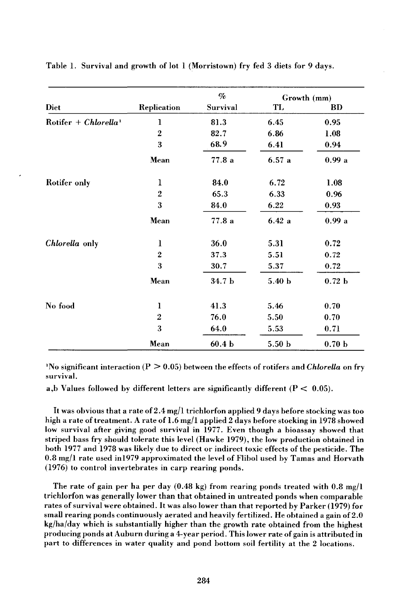|                                  |                    | $\mathcal{O}'_0$  | Growth (mm)       |                   |
|----------------------------------|--------------------|-------------------|-------------------|-------------------|
| Diet                             | <b>Replication</b> | Survival          | TL                | BD                |
| Rotifer + Chlorella <sup>1</sup> | ı                  | 81.3              | 6.45              | 0.95              |
|                                  | $\overline{2}$     | 82.7              | 6.86              | 1.08              |
|                                  | 3                  | 68.9              | 6.41              | 0.94              |
|                                  | Mean               | 77.8a             | 6.57a             | 0.99a             |
| Rotifer only                     | ı                  | 84.0              | 6.72              | 1.08              |
|                                  | $\overline{2}$     | 65.3              | 6.33              | 0.96              |
|                                  | 3                  | 84.0              | 6.22              | 0.93              |
|                                  | Mean               | 77.8 a            | 6.42a             | 0.99a             |
| Chlorella only                   | 1                  | 36.0              | 5.31              | 0.72              |
|                                  | $\boldsymbol{2}$   | 37.3              | 5.51              | 0.72              |
|                                  | 3                  | 30.7              | 5.37              | 0.72              |
|                                  | Mean               | 34.7 b            | 5.40 <sub>b</sub> | 0.72 <sub>b</sub> |
| No food                          | 1                  | 41.3              | 5.46              | 0.70              |
|                                  | $\overline{2}$     | 76.0              | 5.50              | 0.70              |
|                                  | 3                  | 64.0              | 5.53              | 0.71              |
|                                  | Mean               | 60.4 <sub>b</sub> | 5.50 <sub>b</sub> | 0.70 <sub>b</sub> |

Table 1. Survival and growth of lot 1 (Morristown) fry fed 3 diets for 9 days.

<sup>1</sup>No significant interaction (P  $\geq$  0.05) between the effects of rotifers and *Chlorella* on fry survival.

a,b Values followed by different letters are significantly different ( $P < 0.05$ ).

It was obvious that a rate of 2.4  $mg/1$  trichlorfon applied 9 days before stocking was too high a rate of treatment. A rate of 1.6 mg/l applied 2 days before stocking in 1978 showed low survival after giving good survival in 1977. Even though a bioassay showed that striped bass fry should tolerate this level (Hawke 1979), the low production obtained in both 1977 and 1978 was likely due to direct or indirect toxic effects of the pesticide. The 0.8 mg/l rate used inl979 approximated the level of Flibol used by Tamas and Horvath (1976) to control invertebrates in carp rearing ponds.

The rate of gain per ha per day  $(0.48 \text{ kg})$  from rearing ponds treated with  $0.8 \text{ mg/l}$ trichlorfon was generally lower than that obtained in untreated ponds when comparable rates of survival were obtained. It was also lower than that reported by Parker (1979) for small rearing ponds continuously aerated and heavily fertilized. He obtained a gain of2.0 kg/ha/day which is substantially higher than the growth rate obtained from the highest producing ponds at Auburn during a 4-year period. This lower rate of gain is attributed in part to differences in water quality and pond bottom soil fertility at the 2 locations.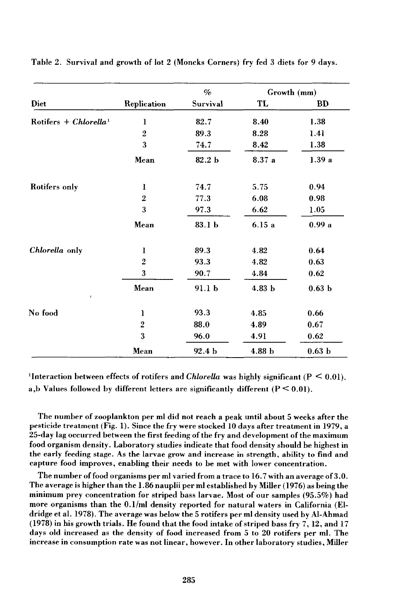|                                   |                  | $\%$              |        | Growth (mm)       |
|-----------------------------------|------------------|-------------------|--------|-------------------|
| Diet                              | Replication      | Survival          | TL     | <b>BD</b>         |
| Rotifers + Chlorella <sup>1</sup> | 1                | 82.7              | 8.40   | 1.38              |
|                                   | $\boldsymbol{2}$ | 89.3              | 8.28   | 1.41              |
|                                   | 3                | 74.7              | 8.42   | 1.38              |
|                                   | Mean             | 82.2 <sub>b</sub> | 8.37 a | 1.39a             |
| Rotifers only                     | 1                | 74.7              | 5.75   | 0.94              |
|                                   | $\overline{2}$   | 77.3              | 6.08   | 0.98              |
|                                   | 3                | 97.3              | 6.62   | 1.05              |
|                                   | Mean             | 83.1 b            | 6.15a  | 0.99a             |
| Chlorella only                    | 1                | 89.3              | 4.82   | 0.64              |
|                                   | $\overline{2}$   | 93.3              | 4.82   | 0.63              |
|                                   | 3                | 90.7              | 4.84   | 0.62              |
| t.                                | Mean             | 91.1 b            | 4.83 b | 0.63 <sub>b</sub> |
| No food                           | ı                | 93.3              | 4.85   | 0.66              |
|                                   | $\boldsymbol{2}$ | 88.0              | 4.89   | 0.67              |
|                                   | 3                | 96.0              | 4.91   | 0.62              |
|                                   | Mean             | 92.4 b            | 4.88 b | 0.63 <sub>b</sub> |

Table 2. Survival and growth of lot 2 (Moncks Corners) fry fed 3 diets for 9 days.

<sup>1</sup>Interaction between effects of rotifers and *Chlorella* was highly significant ( $P \le 0.01$ ). a,b Values followed by different letters are significantly different  $(P \le 0.01)$ .

The number of zooplankton per ml did not reach a peak until about 5 weeks after the pesticide treatment (Fig. 1). Since the fry were stocked 10 days after treatment in 1979, a 25-day lag occurred between the first feeding of the fry and development of the maximum food organism density. Laboratory studies indicate that food density should be highest in the early feeding stage. As the larvae grow and increase in strength, ability to find and capture food improves, enabling their needs to be met with lower concentration.

The number of food organisms per ml varied from a trace to 16.7 with an average of 3.0. The average is higher than the 1.86 nauplii per ml established by Miller (1976) as being the minimum prey concentration for striped bass larvae. Most of our samples (95.5%) had more organisms than the O.I/ml density reported for natural waters in California (Eldridge et al. 1978). The average was below the 5 rotifers per ml density used by AI-Ahmad  $(1978)$  in his growth trials. He found that the food intake of striped bass fry  $7, 12,$  and 17 days old increased as the density of food increased from 5 to 20 rotifers per ml. The increase in consumption rate was not linear, however. In other laboratory studies, Miller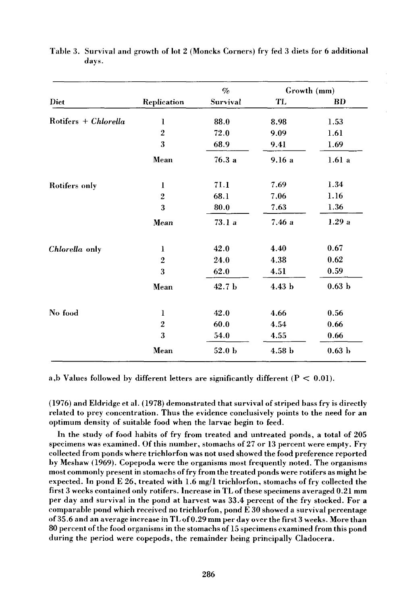|                         |                    | $\%$              | Growth (mm)       |                   |
|-------------------------|--------------------|-------------------|-------------------|-------------------|
| Diet                    | <b>Replication</b> | Survival          | <b>TL</b>         | <b>BD</b>         |
| $Rotifiers + Chlorella$ | 1                  | 88.0              | 8.98              | 1.53              |
|                         | $\overline{2}$     | 72.0              | 9.09              | 1.61              |
|                         | 3                  | 68.9              | 9.41              | 1.69              |
|                         | Mean               | 76.3a             | 9.16a             | 1.61a             |
| Rotifers only           | 1                  | 71.1              | 7.69              | 1.34              |
|                         | $\overline{2}$     | 68.1              | 7.06              | 1.16              |
|                         | 3                  | 80.0              | 7.63              | 1.36              |
|                         | <b>Mean</b>        | 73.1a             | 7.46 a            | 1.29a             |
| Chlorella only          | 1                  | 42.0              | 4.40              | 0.67              |
|                         | $\mathbf{2}$       | 24.0              | 4.38              | 0.62              |
|                         | 3                  | 62.0              | 4.51              | 0.59              |
|                         | Mean               | 42.7 b            | 4.43 b            | 0.63 <sub>b</sub> |
| No food                 | 1                  | 42.0              | 4.66              | 0.56              |
|                         | $\mathbf{2}$       | 60.0              | 4.54              | 0.66              |
|                         | 3                  | 54.0              | 4.55              | 0.66              |
|                         | Mean               | 52.0 <sub>b</sub> | 4.58 <sub>b</sub> | 0.63 <sub>b</sub> |

Table 3. Survival and growth of lot 2 (Moncks Corners) fry fed 3 diets for 6 additional days.

a,b Values followed by different letters are significantly different  $(P < 0.01)$ .

(1976) and Eldridge et al. (1978) demonstrated that survival ofstriped bass fry is directly related to prey concentration. Thus the evidence conclusively points to the need for an optimum density of suitable food when the larvae begin to feed.

In the study of food habits of fry from treated and untreated ponds, a total of 205 specimens was examined. Of this number, stomachs of 27 or 13 percent were empty. Fry collected from ponds where trichlorfon was not used showed the food preference reported by Meshaw (1969). Copepoda were the organisms most frequently noted. The organisms most commonly present in stomachs offry from the treated ponds were rotifers as might be expected. In pond E 26, treated with 1.6 mg/I trichlorfon, stomachs of fry collected the first 3 weeks contained only rotifers. Increase in TL of these specimens averaged 0.21 mm per day and survival in the pond at harvest was 33.4 percent of the fry stocked. For a comparable pond which received no trichlorfon, pond E 30 showed a survival percentage of35.6 and an average increase in TL of 0.29 mm per day over the first 3 weeks. More than 80 percent of the food organisms in the stomachs of 15 specimens examined from this pond during the period were copepods, the remainder being principally Cladocera.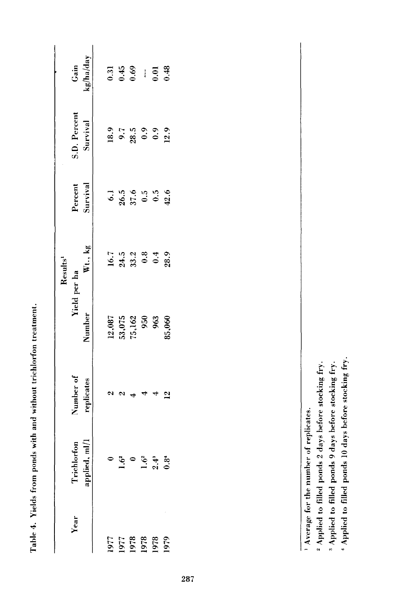|                              |                              |            |                                                    | Results <sup>1</sup> |                                                       |                                           |                                                |
|------------------------------|------------------------------|------------|----------------------------------------------------|----------------------|-------------------------------------------------------|-------------------------------------------|------------------------------------------------|
| Year                         |                              | Number of  |                                                    | Yield per ha         |                                                       | S.D. Percent                              | Gain                                           |
|                              | Trichlorfon<br>applied, ml/1 | replicates | Number                                             | Wt., kg              | Percent<br>Survival                                   | Survival                                  | kg/ha/day                                      |
|                              |                              |            |                                                    |                      |                                                       |                                           |                                                |
|                              | $1.6^{2}$                    |            | $\frac{12,087}{23,075}$<br>$\frac{33,075}{25,162}$ |                      |                                                       |                                           |                                                |
|                              | $\frac{0}{1.6^2}$            |            |                                                    |                      |                                                       |                                           |                                                |
|                              |                              |            |                                                    |                      |                                                       |                                           |                                                |
| 6261<br>8261<br>8261<br>2261 | 2.4 <sup>3</sup>             |            | 963                                                |                      | $6.5$<br>$26.6$<br>$37.6$<br>$6.5$<br>$6.5$<br>$42.6$ | 18.7<br>9.7<br>8.9<br>9.9<br>12.9<br>12.9 | $0.31$<br>$0.45$<br>$0.69$<br>$0.01$<br>$0.48$ |
|                              | 0.8 <sup>4</sup>             | ≌          | 85,060                                             |                      |                                                       |                                           |                                                |
|                              |                              |            |                                                    |                      |                                                       |                                           |                                                |
|                              |                              |            |                                                    |                      |                                                       |                                           |                                                |
|                              |                              |            |                                                    |                      |                                                       |                                           |                                                |

l,

Table 4. Yields from ponds with and without trichlorfon treatment.

Table 4. Yields from ponds with and without trichlorfon treatment.

<sup>1</sup> Average for the number of replicates. Average for the number of replicates.

<sup>2</sup> Applied to filled ponds 2 days before stocking fry. , Applied to filled ponds 2 days before stocking fry .

<sup>3</sup> Applied to filled ponds 9 days before stocking fry. ., Applied to filled ponds 9 days before stocking fry.

<sup>4</sup> Applied to filled ponds 10 days before stocking fry. • Applied to filled ponds 10 days before stocking fry.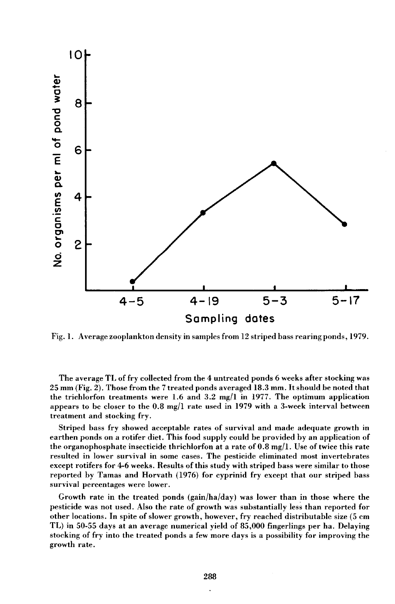

Fig. I. Average zooplankton density in samples from 12 striped bass rearing ponds, 1979.

The average TL of fry collected from the 4 untreated ponds 6 weeks after stocking was 25 mm (Fig. 2). Those from the 7 treated ponds averaged 18.3 mm. Itshould be noted that the trichlorfon treatments were 1.6 and 3.2 mg/l in 1977. The optimum application appears to be closer to the 0.8 mg/I rate used in 1979 with a 3-week interval between treatment and stocking fry.

Striped bass fry showed acceptable rates of survival and made adequate growth in earthen ponds on a rotifer diet. This food supply could be provided by an application of the organophosphate insecticide thrichlorfon at a rate of  $0.8 \text{ mg/l}$ . Use of twice this rate resulted in lower survival in some cases. The pesticide eliminated most invertebrates except rotifers for 4-6 weeks. Results of this study with striped bass were similar to those reported by Tamas and Horvath (1976) for cyprinid fry except that our striped bass survival percentages were lower.

Growth rate in the treated ponds (gain/ha/day) was lower than in those where the pesticide was not used. Also the rate of growth was substantially les~ than reported for other locations. In spite of slower growth, however, fry reached distributable size (5 cm TL) in 50-55 days at an average numerical yield of 85,000 fingerlings per ha. Delaying stocking of fry into the treated ponds a few more days is a possibility for improving the growth rate.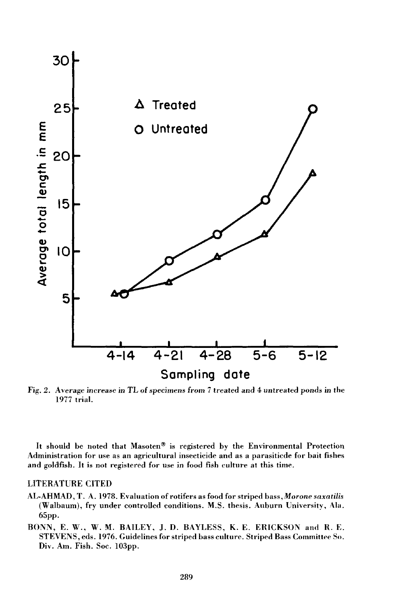

Fig. 2. Average increase in TL of specimens from 7 treated and 4 untreated ponds in the 1977 trial.

It should be noted that Masoten® is registered by the Environmental Protection Administration for use as an agricultural insecticide and as a parasiticde for bait fishes and goldfish. It is not registered for use in food fish culture at this time.

## LITERATURE CITED

- AL-AHMAD, T. A. 1978. Evaluation of rotifers as food for striped bass, *Morone saxatilis* (Walbaum), fry under controlled conditions. M.S. thesis. Auburn University, Ala. 65pp.
- BONN, E. W., W. M. BAILEY, J. D. BAYLESS, K. E. ERICKSON and R. E. STEVENS, eds. 1976. Guidelines for striped bass culture. Striped Bass Committee So. Div. Am. Fish. Soc. l03pp.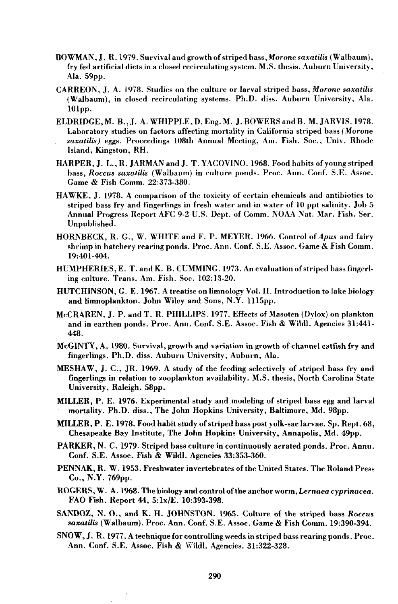- BOWMAN, J. R. 1979. Survival and growth ofstriped bass, *Morone saxatilis* (Walbaum), fry fed artificial diets in a closed recirculating system. M.S. thesis. Auburn University, Ala. 59pp.
- CARREON, J. A. 1978. Studies on the culture or larval striped bass, *Morone saxatilis* (Walbaum), in closed recirculating systems. Ph.D. diss. Auburn University, Ala. 101pp.
- ELDRIDGE,M. B.,J. A. WHIPPLE,D. Eng. M. J. BOWERS andB. M.JARVIS.1978. Laboratory studies on factors affecting mortality in California striped bass *(Morone saxatilis)* eggs. Proceedings 108th Annual Meeting, Am. Fish. Soc., Univ. Rhode Island, Kingston, RH.
- HARPER, J. L., R. JARMAN and J. T. YACOVINO. 1968. Food habits of young striped bass, *Roccus saxatilis* (Walbaum) in culture ponds. Proc. Ann. Conf. S.E. Assoc. Game & Fish Comm. 22:373-380.
- HAWKE, J. 1978. A comparison of the toxicity of certain chemicals and antibiotics to striped bass fry and fingerlings in fresh water and in water of 10 ppt salinity. Job 5 Annual Progress Report AFC 9-2 U.S. Dept. of Comm. NOAA Nat. Mar. Fish. Ser. Unpublished.
- HORNBECK, R. *G.,* W. WHITE and F. P. MEYER. 1966. Control of *Apus* and fairy shrimp in hatchery rearing ponds. Proc. Ann. Conf. S.E. Assoc. Game & Fish Comm. 19:401-404.
- HUMPHERIES, E. T. and K. B. CUMMING. 1973. An evaluation ofstriped bass fingerling culture. Trans. Am. Fish. Soc. 102: 13-20.
- HUTCHINSON, G. E. 1967. A treatise on limnology Vol. II. Introduction to lake biology and limnoplankton. John Wiley and Sons, N.Y. 1115pp.
- McCRAREN, J. P. and T. R. PHILLIPS. 1977. Effects of Masoten (Dylox) on plankton and in earthen ponds. Proc. Ann. Conf. S.E. Assoc. Fish & Wildl. Agencies 31:441- 448.
- McGINTY, A. 1980. Survival, growth and variation in growth of channel catfish fry and fingerlings. Ph.D. diss. Auburn University, Auburn, Ala.
- MESHAW, J. C., JR. 1969. A study of the feeding selectively of striped bass fry and fingerlings in relation to zooplankton availability. M.S. thesis, North Carolina State University, Raleigh. 58pp.
- MILLER, P. E. 1976. Experimental study and modeling of striped bass egg and larval mortality. Ph.D. diss., The John Hopkins University, Baltimore, Md. 98pp.
- MILLER, P. E. 1978. Food habit study ofstriped bass post yolk-sac larvae. Sp. Rept. 68, Chesapeake Bay Institute, The John Hopkins University, Annapolis, Md. 49pp.
- PARKER, N. C. 1979. Striped bass culture in continuously aerated ponds. Proc. Annu. Con£. S.E. Assoc. Fish & Wildl. Agencies 33:353-360.
- PENNAK, R. W. 1953. Freshwater invertebrates of the United States. The Roland Press Co., N.Y. 769pp.
- ROGERS, W. A.I968. The biology and control ofthe anchor worm, *Lernaea cyprinacea.* FAO Fish. Report 44, *5:lx/E. 10:393-398.*
- SANDOZ, N. 0., and K. H. JOHNSTON. 1965. Culture of the striped bass *Roccus saxatilis* (Walbaum). Proc. Ann. Conf. S.E. Assoc. Game & Fish Comm. 19:390-394.
- SNOW,J. R. 1977. A technique for controlling weeds in striped bass rearing ponds. Proc. Ann. Conf. S.E. Assoc. Fish & Wildl. Agencies. 31:322-328.

Í